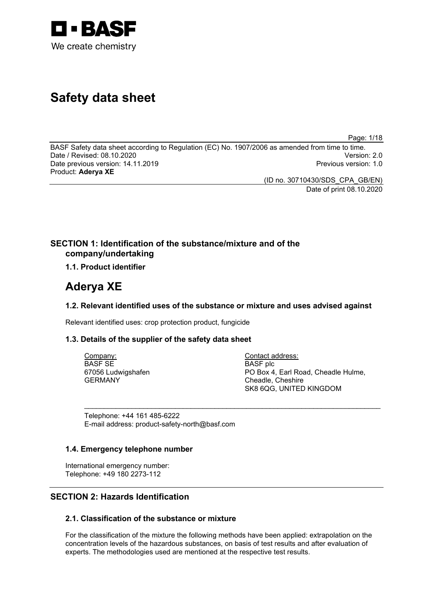

# **Safety data sheet**

Page: 1/18

BASF Safety data sheet according to Regulation (EC) No. 1907/2006 as amended from time to time. Date / Revised: 08.10.2020 Version: 2.0 Date previous version: 14.11.2019 Product: **Aderya XE**

(ID no. 30710430/SDS\_CPA\_GB/EN) Date of print 08.10.2020

## **SECTION 1: Identification of the substance/mixture and of the company/undertaking**

## **1.1. Product identifier**

## **Aderya XE**

## **1.2. Relevant identified uses of the substance or mixture and uses advised against**

\_\_\_\_\_\_\_\_\_\_\_\_\_\_\_\_\_\_\_\_\_\_\_\_\_\_\_\_\_\_\_\_\_\_\_\_\_\_\_\_\_\_\_\_\_\_\_\_\_\_\_\_\_\_\_\_\_\_\_\_\_\_\_\_\_\_\_\_\_\_\_\_\_\_\_

Relevant identified uses: crop protection product, fungicide

#### **1.3. Details of the supplier of the safety data sheet**

Company: BASF SE 67056 Ludwigshafen GERMANY

Contact address: BASF plc PO Box 4, Earl Road, Cheadle Hulme, Cheadle, Cheshire SK8 6QG, UNITED KINGDOM

Telephone: +44 161 485-6222 E-mail address: product-safety-north@basf.com

#### **1.4. Emergency telephone number**

International emergency number: Telephone: +49 180 2273-112

## **SECTION 2: Hazards Identification**

## **2.1. Classification of the substance or mixture**

For the classification of the mixture the following methods have been applied: extrapolation on the concentration levels of the hazardous substances, on basis of test results and after evaluation of experts. The methodologies used are mentioned at the respective test results.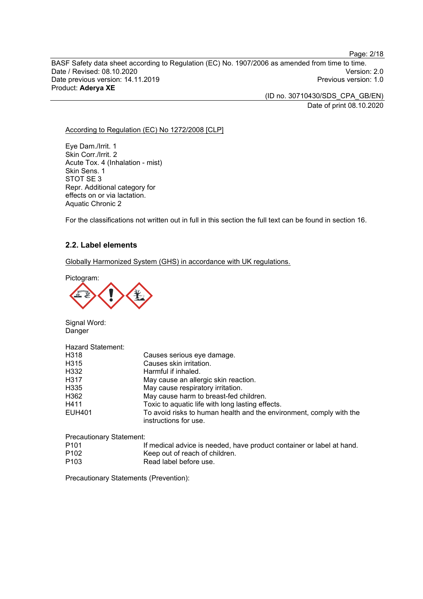BASF Safety data sheet according to Regulation (EC) No. 1907/2006 as amended from time to time. Date / Revised: 08.10.2020<br>Date previous version: 14.11.2019 Version: 2.0 Date previous version: 14.11.2019 Product: **Aderya XE**

> (ID no. 30710430/SDS\_CPA\_GB/EN) Date of print 08.10.2020

Page: 2/18

#### According to Regulation (EC) No 1272/2008 [CLP]

Eye Dam./Irrit. 1 Skin Corr./Irrit. 2 Acute Tox. 4 (Inhalation - mist) Skin Sens. 1 STOT SE 3 Repr. Additional category for effects on or via lactation. Aquatic Chronic 2

For the classifications not written out in full in this section the full text can be found in section 16.

## **2.2. Label elements**

Globally Harmonized System (GHS) in accordance with UK regulations.

Pictogram:



Signal Word: Danger

Hazard Statement:

| H318   | Causes serious eye damage.                                                                   |
|--------|----------------------------------------------------------------------------------------------|
| H315   | Causes skin irritation.                                                                      |
| H332   | Harmful if inhaled.                                                                          |
| H317   | May cause an allergic skin reaction.                                                         |
| H335   | May cause respiratory irritation.                                                            |
| H362   | May cause harm to breast-fed children.                                                       |
| H411   | Toxic to aquatic life with long lasting effects.                                             |
| EUH401 | To avoid risks to human health and the environment, comply with the<br>instructions for use. |

Precautionary Statement:

| P <sub>101</sub> | If medical advice is needed, have product container or label at hand. |
|------------------|-----------------------------------------------------------------------|
| P <sub>102</sub> | Keep out of reach of children.                                        |
| P <sub>103</sub> | Read label before use.                                                |

Precautionary Statements (Prevention):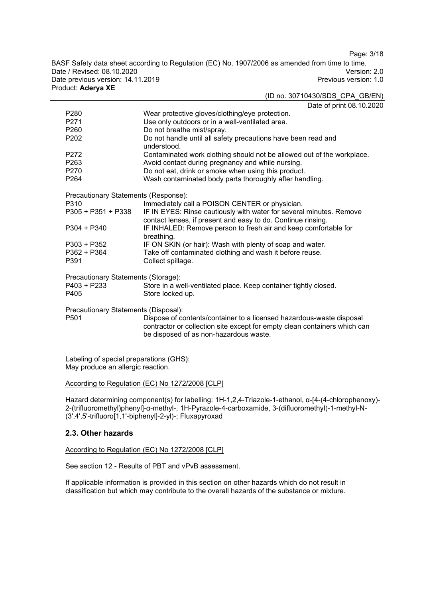Page: 3/18

BASF Safety data sheet according to Regulation (EC) No. 1907/2006 as amended from time to time. Date / Revised: 08.10.2020<br>Date previous version: 14.11.2019 Version: 2.0 Date previous version: 14.11.2019 Product: **Aderya XE**

(ID no. 30710430/SDS\_CPA\_GB/EN)

Date of print 08.10.2020

|                                      | Date of print vo. TV.Zt                                                                                                             |  |  |
|--------------------------------------|-------------------------------------------------------------------------------------------------------------------------------------|--|--|
| P <sub>280</sub>                     | Wear protective gloves/clothing/eye protection.                                                                                     |  |  |
| P <sub>271</sub>                     | Use only outdoors or in a well-ventilated area.                                                                                     |  |  |
| P260                                 | Do not breathe mist/spray.                                                                                                          |  |  |
| P <sub>202</sub>                     | Do not handle until all safety precautions have been read and<br>understood.                                                        |  |  |
| P272                                 | Contaminated work clothing should not be allowed out of the workplace.                                                              |  |  |
| P263                                 | Avoid contact during pregnancy and while nursing.                                                                                   |  |  |
| P270                                 | Do not eat, drink or smoke when using this product.                                                                                 |  |  |
| P <sub>264</sub>                     | Wash contaminated body parts thoroughly after handling.                                                                             |  |  |
| Precautionary Statements (Response): |                                                                                                                                     |  |  |
| P310                                 | Immediately call a POISON CENTER or physician.                                                                                      |  |  |
| P305 + P351 + P338                   | IF IN EYES: Rinse cautiously with water for several minutes. Remove<br>contact lenses, if present and easy to do. Continue rinsing. |  |  |
| $P304 + P340$                        | IF INHALED: Remove person to fresh air and keep comfortable for<br>breathing.                                                       |  |  |
| $P303 + P352$                        | IF ON SKIN (or hair): Wash with plenty of soap and water.                                                                           |  |  |
| P362 + P364                          | Take off contaminated clothing and wash it before reuse.                                                                            |  |  |
| P391                                 | Collect spillage.                                                                                                                   |  |  |
| Precautionary Statements (Storage):  |                                                                                                                                     |  |  |
| P403 + P233                          | Store in a well-ventilated place. Keep container tightly closed.                                                                    |  |  |
| P405                                 | Store locked up.                                                                                                                    |  |  |
| Precautionary Statements (Disposal): |                                                                                                                                     |  |  |
| P501                                 | Dispose of contents/container to a licensed hazardous-waste disposal                                                                |  |  |

contractor or collection site except for empty clean containers which can be disposed of as non-hazardous waste.

Labeling of special preparations (GHS): May produce an allergic reaction.

#### According to Regulation (EC) No 1272/2008 [CLP]

Hazard determining component(s) for labelling: 1H-1,2,4-Triazole-1-ethanol, α-[4-(4-chlorophenoxy)- 2-(trifluoromethyl)phenyl]-α-methyl-, 1H-Pyrazole-4-carboxamide, 3-(difluoromethyl)-1-methyl-N- (3',4',5'-trifluoro[1,1'-biphenyl]-2-yl)-; Fluxapyroxad

#### **2.3. Other hazards**

According to Regulation (EC) No 1272/2008 [CLP]

See section 12 - Results of PBT and vPvB assessment.

If applicable information is provided in this section on other hazards which do not result in classification but which may contribute to the overall hazards of the substance or mixture.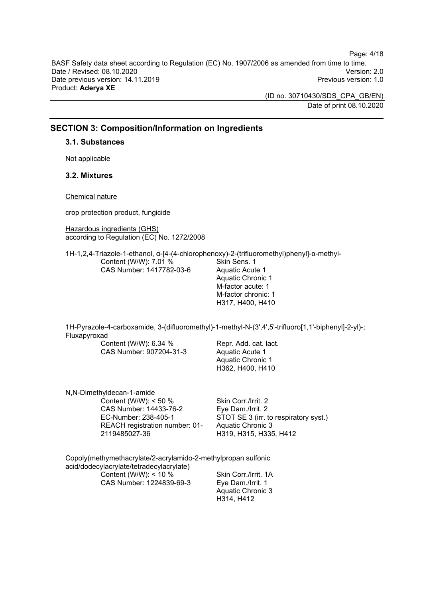BASF Safety data sheet according to Regulation (EC) No. 1907/2006 as amended from time to time. Date / Revised: 08.10.2020<br>Date previous version: 14.11.2019 Version: 2.0 Date previous version: 14.11.2019 Product: **Aderya XE**

> (ID no. 30710430/SDS\_CPA\_GB/EN) Date of print 08.10.2020

## **SECTION 3: Composition/Information on Ingredients**

#### **3.1. Substances**

Not applicable

## **3.2. Mixtures**

Chemical nature

crop protection product, fungicide

Hazardous ingredients (GHS) according to Regulation (EC) No. 1272/2008

1H-1,2,4-Triazole-1-ethanol, α-[4-(4-chlorophenoxy)-2-(trifluoromethyl)phenyl]-α-methyl-Content (W/W): 7.01 % CAS Number: 1417782-03-6 Skin Sens. 1 Aquatic Acute 1 Aquatic Chronic 1 M-factor acute: 1 M-factor chronic: 1

1H-Pyrazole-4-carboxamide, 3-(difluoromethyl)-1-methyl-N-(3',4',5'-trifluoro[1,1'-biphenyl]-2-yl)-; Fluxapyroxad

Content (W/W): 6.34 % CAS Number: 907204-31-3

Repr. Add. cat. lact. Aquatic Acute 1 Aquatic Chronic 1 H362, H400, H410

H317, H400, H410

| N, N-Dimethyldecan-1-amide     |                                       |
|--------------------------------|---------------------------------------|
| Content (W/W): $<$ 50 %        | Skin Corr./Irrit. 2                   |
| CAS Number: 14433-76-2         | Eye Dam./Irrit. 2                     |
| EC-Number: 238-405-1           | STOT SE 3 (irr. to respiratory syst.) |
| REACH registration number: 01- | Aquatic Chronic 3                     |
| 2119485027-36                  | H319, H315, H335, H412                |

Copoly(methymethacrylate/2-acrylamido-2-methylpropan sulfonic acid/dodecylacrylate/tetradecylacrylate) Content (W/W): < 10 % CAS Number: 1224839-69-3 Skin Corr./Irrit. 1A Eye Dam./Irrit. 1

Aquatic Chronic 3 H314, H412

Page: 4/18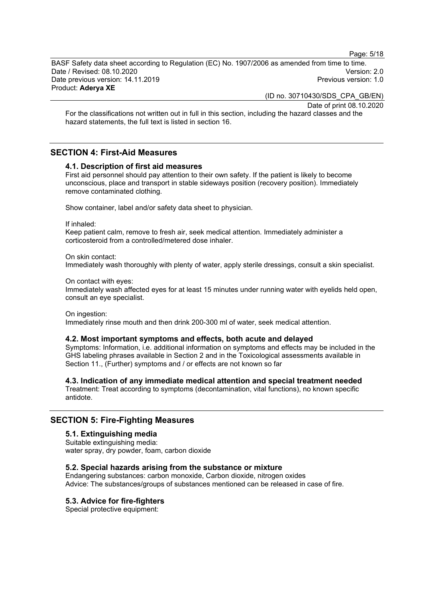Page: 5/18

BASF Safety data sheet according to Regulation (EC) No. 1907/2006 as amended from time to time. Date / Revised: 08.10.2020 Version: 2.0 Date previous version: 14.11.2019 Product: **Aderya XE**

(ID no. 30710430/SDS\_CPA\_GB/EN)

Date of print 08.10.2020

For the classifications not written out in full in this section, including the hazard classes and the hazard statements, the full text is listed in section 16.

## **SECTION 4: First-Aid Measures**

#### **4.1. Description of first aid measures**

First aid personnel should pay attention to their own safety. If the patient is likely to become unconscious, place and transport in stable sideways position (recovery position). Immediately remove contaminated clothing.

Show container, label and/or safety data sheet to physician.

If inhaled:

Keep patient calm, remove to fresh air, seek medical attention. Immediately administer a corticosteroid from a controlled/metered dose inhaler.

#### On skin contact:

Immediately wash thoroughly with plenty of water, apply sterile dressings, consult a skin specialist.

#### On contact with eyes:

Immediately wash affected eyes for at least 15 minutes under running water with eyelids held open, consult an eye specialist.

On ingestion:

Immediately rinse mouth and then drink 200-300 ml of water, seek medical attention.

#### **4.2. Most important symptoms and effects, both acute and delayed**

Symptoms: Information, i.e. additional information on symptoms and effects may be included in the GHS labeling phrases available in Section 2 and in the Toxicological assessments available in Section 11., (Further) symptoms and / or effects are not known so far

**4.3. Indication of any immediate medical attention and special treatment needed**

Treatment: Treat according to symptoms (decontamination, vital functions), no known specific antidote.

#### **SECTION 5: Fire-Fighting Measures**

#### **5.1. Extinguishing media**

Suitable extinguishing media: water spray, dry powder, foam, carbon dioxide

#### **5.2. Special hazards arising from the substance or mixture**

Endangering substances: carbon monoxide, Carbon dioxide, nitrogen oxides Advice: The substances/groups of substances mentioned can be released in case of fire.

#### **5.3. Advice for fire-fighters**

Special protective equipment: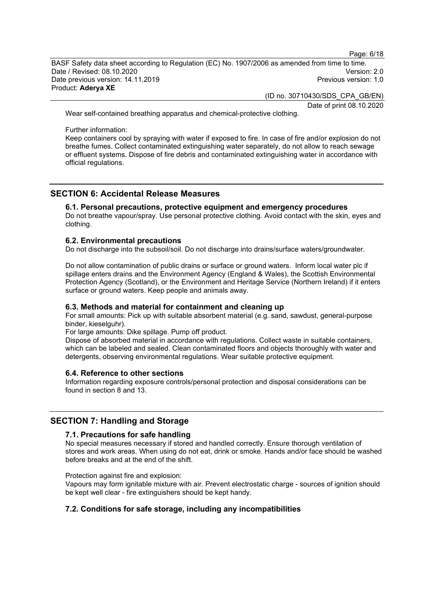Page: 6/18

BASF Safety data sheet according to Regulation (EC) No. 1907/2006 as amended from time to time. Date / Revised: 08.10.2020 Version: 2.0 Date previous version: 14.11.2019 Product: **Aderya XE**

(ID no. 30710430/SDS\_CPA\_GB/EN)

Date of print 08.10.2020

Wear self-contained breathing apparatus and chemical-protective clothing.

Further information:

Keep containers cool by spraying with water if exposed to fire. In case of fire and/or explosion do not breathe fumes. Collect contaminated extinguishing water separately, do not allow to reach sewage or effluent systems. Dispose of fire debris and contaminated extinguishing water in accordance with official regulations.

## **SECTION 6: Accidental Release Measures**

#### **6.1. Personal precautions, protective equipment and emergency procedures**

Do not breathe vapour/spray. Use personal protective clothing. Avoid contact with the skin, eyes and clothing.

#### **6.2. Environmental precautions**

Do not discharge into the subsoil/soil. Do not discharge into drains/surface waters/groundwater.

Do not allow contamination of public drains or surface or ground waters. Inform local water plc if spillage enters drains and the Environment Agency (England & Wales), the Scottish Environmental Protection Agency (Scotland), or the Environment and Heritage Service (Northern Ireland) if it enters surface or ground waters. Keep people and animals away.

#### **6.3. Methods and material for containment and cleaning up**

For small amounts: Pick up with suitable absorbent material (e.g. sand, sawdust, general-purpose binder, kieselguhr).

For large amounts: Dike spillage. Pump off product.

Dispose of absorbed material in accordance with regulations. Collect waste in suitable containers, which can be labeled and sealed. Clean contaminated floors and objects thoroughly with water and detergents, observing environmental regulations. Wear suitable protective equipment.

#### **6.4. Reference to other sections**

Information regarding exposure controls/personal protection and disposal considerations can be found in section 8 and 13.

#### **SECTION 7: Handling and Storage**

#### **7.1. Precautions for safe handling**

No special measures necessary if stored and handled correctly. Ensure thorough ventilation of stores and work areas. When using do not eat, drink or smoke. Hands and/or face should be washed before breaks and at the end of the shift.

Protection against fire and explosion:

Vapours may form ignitable mixture with air. Prevent electrostatic charge - sources of ignition should be kept well clear - fire extinguishers should be kept handy.

#### **7.2. Conditions for safe storage, including any incompatibilities**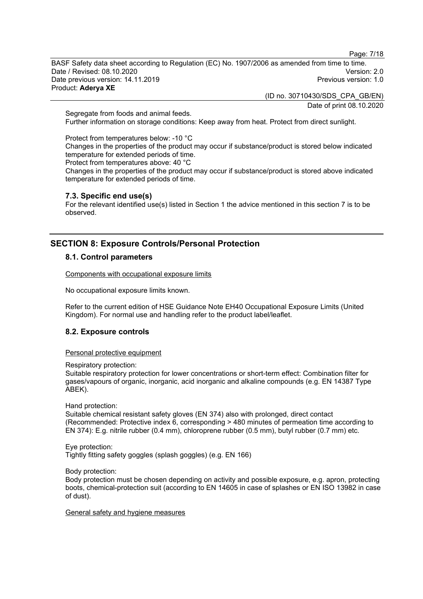Page: 7/18

BASF Safety data sheet according to Regulation (EC) No. 1907/2006 as amended from time to time. Date / Revised: 08.10.2020 Version: 2.0 Date previous version: 14.11.2019 Product: **Aderya XE**

(ID no. 30710430/SDS\_CPA\_GB/EN)

Date of print 08.10.2020

Segregate from foods and animal feeds. Further information on storage conditions: Keep away from heat. Protect from direct sunlight.

Protect from temperatures below: -10 °C Changes in the properties of the product may occur if substance/product is stored below indicated temperature for extended periods of time. Protect from temperatures above: 40 °C

Changes in the properties of the product may occur if substance/product is stored above indicated temperature for extended periods of time.

#### **7.3. Specific end use(s)**

For the relevant identified use(s) listed in Section 1 the advice mentioned in this section 7 is to be observed.

## **SECTION 8: Exposure Controls/Personal Protection**

## **8.1. Control parameters**

Components with occupational exposure limits

No occupational exposure limits known.

Refer to the current edition of HSE Guidance Note EH40 Occupational Exposure Limits (United Kingdom). For normal use and handling refer to the product label/leaflet.

## **8.2. Exposure controls**

Personal protective equipment

Respiratory protection:

Suitable respiratory protection for lower concentrations or short-term effect: Combination filter for gases/vapours of organic, inorganic, acid inorganic and alkaline compounds (e.g. EN 14387 Type ABEK).

Hand protection:

Suitable chemical resistant safety gloves (EN 374) also with prolonged, direct contact (Recommended: Protective index 6, corresponding > 480 minutes of permeation time according to EN 374): E.g. nitrile rubber (0.4 mm), chloroprene rubber (0.5 mm), butyl rubber (0.7 mm) etc.

Eye protection: Tightly fitting safety goggles (splash goggles) (e.g. EN 166)

Body protection:

Body protection must be chosen depending on activity and possible exposure, e.g. apron, protecting boots, chemical-protection suit (according to EN 14605 in case of splashes or EN ISO 13982 in case of dust).

General safety and hygiene measures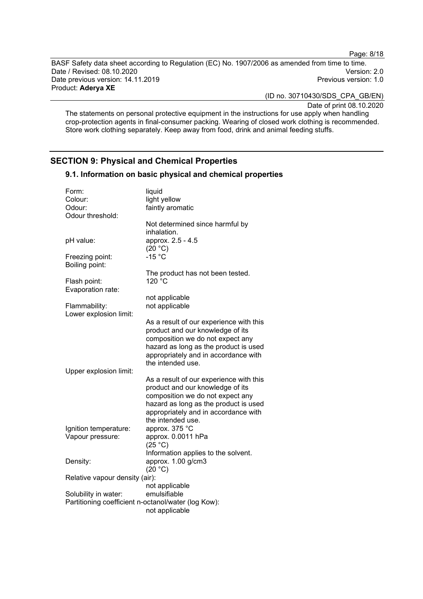Page: 8/18

BASF Safety data sheet according to Regulation (EC) No. 1907/2006 as amended from time to time. Date / Revised: 08.10.2020<br>Date previous version: 14.11.2019 Version: 2.0 Date previous version: 14.11.2019 Product: **Aderya XE**

(ID no. 30710430/SDS\_CPA\_GB/EN)

Date of print 08.10.2020

The statements on personal protective equipment in the instructions for use apply when handling crop-protection agents in final-consumer packing. Wearing of closed work clothing is recommended. Store work clothing separately. Keep away from food, drink and animal feeding stuffs.

## **SECTION 9: Physical and Chemical Properties**

| Form:                                               | liquid                                                                        |  |
|-----------------------------------------------------|-------------------------------------------------------------------------------|--|
| Colour:                                             | light yellow                                                                  |  |
| Odour:                                              | faintly aromatic                                                              |  |
| Odour threshold:                                    |                                                                               |  |
|                                                     | Not determined since harmful by                                               |  |
|                                                     | inhalation.                                                                   |  |
| pH value:                                           | approx. 2.5 - 4.5                                                             |  |
|                                                     | (20 °C)<br>$-15 °C$                                                           |  |
| Freezing point:<br>Boiling point:                   |                                                                               |  |
|                                                     | The product has not been tested.                                              |  |
| Flash point:                                        | 120 °C                                                                        |  |
| Evaporation rate:                                   |                                                                               |  |
|                                                     | not applicable                                                                |  |
| Flammability:                                       | not applicable                                                                |  |
| Lower explosion limit:                              |                                                                               |  |
|                                                     | As a result of our experience with this                                       |  |
|                                                     | product and our knowledge of its                                              |  |
|                                                     | composition we do not expect any                                              |  |
|                                                     | hazard as long as the product is used<br>appropriately and in accordance with |  |
|                                                     | the intended use.                                                             |  |
| Upper explosion limit:                              |                                                                               |  |
|                                                     | As a result of our experience with this                                       |  |
|                                                     | product and our knowledge of its                                              |  |
|                                                     | composition we do not expect any                                              |  |
|                                                     | hazard as long as the product is used                                         |  |
|                                                     | appropriately and in accordance with                                          |  |
|                                                     | the intended use.                                                             |  |
| Ignition temperature:                               | approx. 375 °C                                                                |  |
| Vapour pressure:                                    | approx. 0.0011 hPa                                                            |  |
|                                                     | (25 °C)<br>Information applies to the solvent.                                |  |
| Density:                                            | approx. 1.00 g/cm3                                                            |  |
|                                                     | (20 °C)                                                                       |  |
| Relative vapour density (air):                      |                                                                               |  |
|                                                     | not applicable                                                                |  |
| Solubility in water:                                | emulsifiable                                                                  |  |
| Partitioning coefficient n-octanol/water (log Kow): |                                                                               |  |
|                                                     | not applicable                                                                |  |

**9.1. Information on basic physical and chemical properties**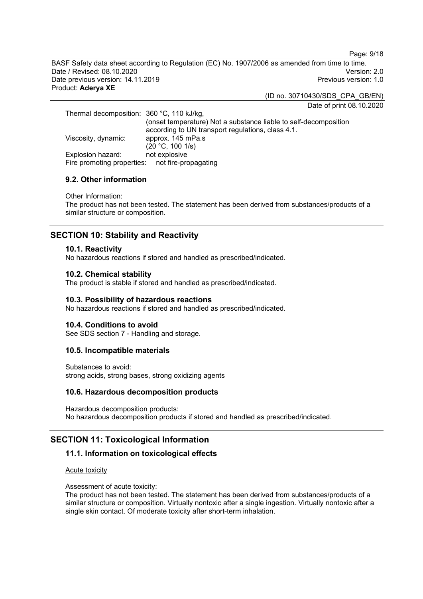Page: 9/18

BASF Safety data sheet according to Regulation (EC) No. 1907/2006 as amended from time to time. Date / Revised: 08.10.2020 Version: 2.0 Date previous version: 14.11.2019 Product: **Aderya XE**

(ID no. 30710430/SDS\_CPA\_GB/EN)

Date of print 08.10.2020

Thermal decomposition: 360 °C, 110 kJ/kg, (onset temperature) Not a substance liable to self-decomposition according to UN transport regulations, class 4.1. Viscosity, dynamic:  $(20 °C, 100 1/s)$ <br>not explosive Explosion hazard: not explosive<br>Fire promoting properties: not fire-propagating Fire promoting properties:

#### **9.2. Other information**

Other Information:

The product has not been tested. The statement has been derived from substances/products of a similar structure or composition.

## **SECTION 10: Stability and Reactivity**

#### **10.1. Reactivity**

No hazardous reactions if stored and handled as prescribed/indicated.

#### **10.2. Chemical stability**

The product is stable if stored and handled as prescribed/indicated.

#### **10.3. Possibility of hazardous reactions**

No hazardous reactions if stored and handled as prescribed/indicated.

#### **10.4. Conditions to avoid**

See SDS section 7 - Handling and storage.

#### **10.5. Incompatible materials**

Substances to avoid: strong acids, strong bases, strong oxidizing agents

#### **10.6. Hazardous decomposition products**

Hazardous decomposition products: No hazardous decomposition products if stored and handled as prescribed/indicated.

## **SECTION 11: Toxicological Information**

#### **11.1. Information on toxicological effects**

#### Acute toxicity

Assessment of acute toxicity:

The product has not been tested. The statement has been derived from substances/products of a similar structure or composition. Virtually nontoxic after a single ingestion. Virtually nontoxic after a single skin contact. Of moderate toxicity after short-term inhalation.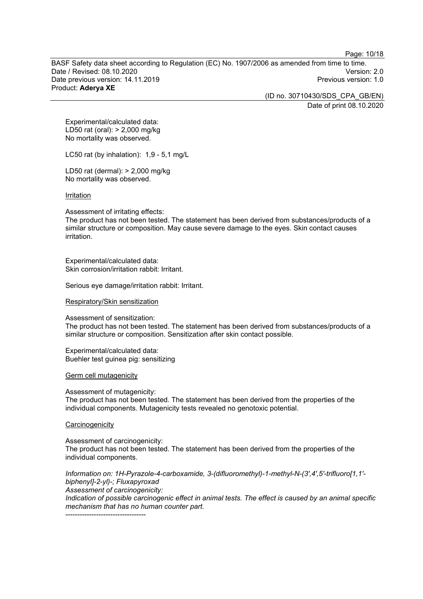Page: 10/18

BASF Safety data sheet according to Regulation (EC) No. 1907/2006 as amended from time to time. Date / Revised: 08.10.2020 Version: 2.0 Date previous version: 14.11.2019 Product: **Aderya XE**

(ID no. 30710430/SDS\_CPA\_GB/EN)

Date of print 08.10.2020

Experimental/calculated data: LD50 rat (oral): > 2,000 mg/kg No mortality was observed.

LC50 rat (by inhalation): 1,9 - 5,1 mg/L

LD50 rat (dermal): > 2,000 mg/kg No mortality was observed.

Irritation

Assessment of irritating effects:

The product has not been tested. The statement has been derived from substances/products of a similar structure or composition. May cause severe damage to the eyes. Skin contact causes irritation.

Experimental/calculated data: Skin corrosion/irritation rabbit: Irritant.

Serious eye damage/irritation rabbit: Irritant.

Respiratory/Skin sensitization

Assessment of sensitization: The product has not been tested. The statement has been derived from substances/products of a similar structure or composition. Sensitization after skin contact possible.

Experimental/calculated data: Buehler test guinea pig: sensitizing

Germ cell mutagenicity

Assessment of mutagenicity: The product has not been tested. The statement has been derived from the properties of the individual components. Mutagenicity tests revealed no genotoxic potential.

**Carcinogenicity** 

Assessment of carcinogenicity:

The product has not been tested. The statement has been derived from the properties of the individual components.

*Information on: 1H-Pyrazole-4-carboxamide, 3-(difluoromethyl)-1-methyl-N-(3',4',5'-trifluoro[1,1' biphenyl]-2-yl)-; Fluxapyroxad*

*Assessment of carcinogenicity: Indication of possible carcinogenic effect in animal tests. The effect is caused by an animal specific mechanism that has no human counter part.*

----------------------------------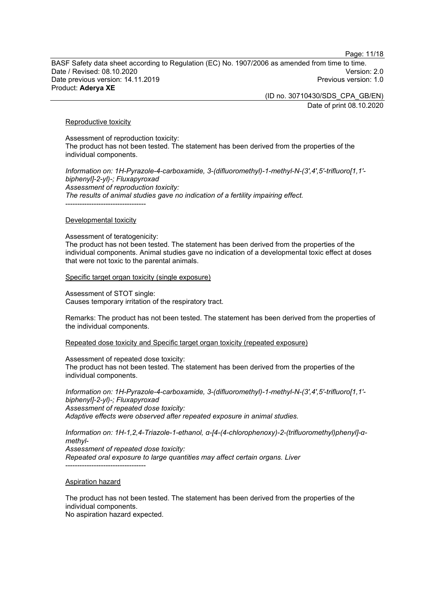Page: 11/18

BASF Safety data sheet according to Regulation (EC) No. 1907/2006 as amended from time to time. Date / Revised: 08.10.2020 Version: 2.0 Date previous version: 14.11.2019 Product: **Aderya XE**

> (ID no. 30710430/SDS\_CPA\_GB/EN) Date of print 08.10.2020

Reproductive toxicity

Assessment of reproduction toxicity: The product has not been tested. The statement has been derived from the properties of the individual components.

*Information on: 1H-Pyrazole-4-carboxamide, 3-(difluoromethyl)-1-methyl-N-(3',4',5'-trifluoro[1,1' biphenyl]-2-yl)-; Fluxapyroxad Assessment of reproduction toxicity: The results of animal studies gave no indication of a fertility impairing effect.* ----------------------------------

#### Developmental toxicity

Assessment of teratogenicity:

The product has not been tested. The statement has been derived from the properties of the individual components. Animal studies gave no indication of a developmental toxic effect at doses that were not toxic to the parental animals.

Specific target organ toxicity (single exposure)

Assessment of STOT single: Causes temporary irritation of the respiratory tract.

Remarks: The product has not been tested. The statement has been derived from the properties of the individual components.

Repeated dose toxicity and Specific target organ toxicity (repeated exposure)

Assessment of repeated dose toxicity:

The product has not been tested. The statement has been derived from the properties of the individual components.

*Information on: 1H-Pyrazole-4-carboxamide, 3-(difluoromethyl)-1-methyl-N-(3',4',5'-trifluoro[1,1' biphenyl]-2-yl)-; Fluxapyroxad Assessment of repeated dose toxicity: Adaptive effects were observed after repeated exposure in animal studies.*

*Information on: 1H-1,2,4-Triazole-1-ethanol, α-[4-(4-chlorophenoxy)-2-(trifluoromethyl)phenyl]-αmethyl-Assessment of repeated dose toxicity: Repeated oral exposure to large quantities may affect certain organs. Liver* ----------------------------------

#### Aspiration hazard

The product has not been tested. The statement has been derived from the properties of the individual components.

No aspiration hazard expected.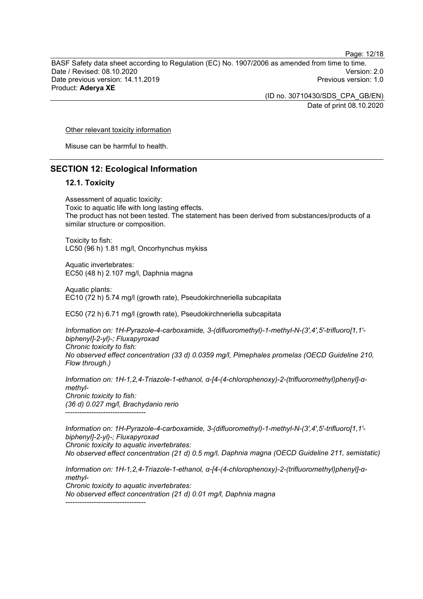Page: 12/18

BASF Safety data sheet according to Regulation (EC) No. 1907/2006 as amended from time to time. Date / Revised: 08.10.2020 Version: 2.0 Date previous version: 14.11.2019 Product: **Aderya XE**

> (ID no. 30710430/SDS\_CPA\_GB/EN) Date of print 08.10.2020

#### Other relevant toxicity information

Misuse can be harmful to health.

#### **SECTION 12: Ecological Information**

#### **12.1. Toxicity**

Assessment of aquatic toxicity: Toxic to aquatic life with long lasting effects. The product has not been tested. The statement has been derived from substances/products of a similar structure or composition.

Toxicity to fish: LC50 (96 h) 1.81 mg/l, Oncorhynchus mykiss

Aquatic invertebrates: EC50 (48 h) 2.107 mg/l, Daphnia magna

Aquatic plants: EC10 (72 h) 5.74 mg/l (growth rate), Pseudokirchneriella subcapitata

EC50 (72 h) 6.71 mg/l (growth rate), Pseudokirchneriella subcapitata

*Information on: 1H-Pyrazole-4-carboxamide, 3-(difluoromethyl)-1-methyl-N-(3',4',5'-trifluoro[1,1' biphenyl]-2-yl)-; Fluxapyroxad Chronic toxicity to fish: No observed effect concentration (33 d) 0.0359 mg/l, Pimephales promelas (OECD Guideline 210, Flow through.)*

*Information on: 1H-1,2,4-Triazole-1-ethanol, α-[4-(4-chlorophenoxy)-2-(trifluoromethyl)phenyl]-αmethyl-Chronic toxicity to fish: (36 d) 0.027 mg/l, Brachydanio rerio* ----------------------------------

*Information on: 1H-Pyrazole-4-carboxamide, 3-(difluoromethyl)-1-methyl-N-(3',4',5'-trifluoro[1,1' biphenyl]-2-yl)-; Fluxapyroxad Chronic toxicity to aquatic invertebrates: No observed effect concentration (21 d) 0.5 mg/l, Daphnia magna (OECD Guideline 211, semistatic)*

*Information on: 1H-1,2,4-Triazole-1-ethanol, α-[4-(4-chlorophenoxy)-2-(trifluoromethyl)phenyl]-αmethyl-Chronic toxicity to aquatic invertebrates: No observed effect concentration (21 d) 0.01 mg/l, Daphnia magna* ----------------------------------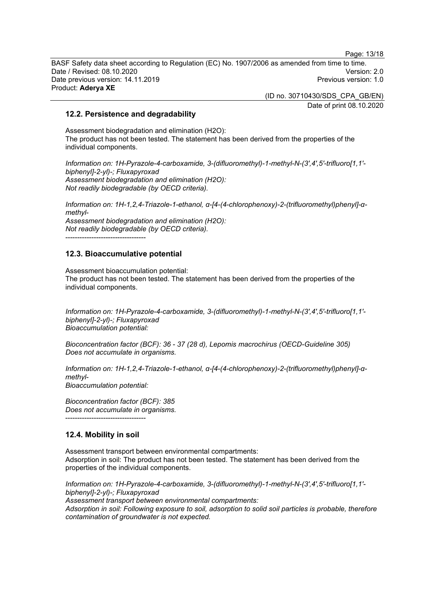Page: 13/18

BASF Safety data sheet according to Regulation (EC) No. 1907/2006 as amended from time to time. Date / Revised: 08.10.2020 Version: 2.0 Date previous version: 14.11.2019 Product: **Aderya XE**

(ID no. 30710430/SDS\_CPA\_GB/EN)

Date of print 08.10.2020

#### **12.2. Persistence and degradability**

Assessment biodegradation and elimination (H2O): The product has not been tested. The statement has been derived from the properties of the individual components.

*Information on: 1H-Pyrazole-4-carboxamide, 3-(difluoromethyl)-1-methyl-N-(3',4',5'-trifluoro[1,1' biphenyl]-2-yl)-; Fluxapyroxad Assessment biodegradation and elimination (H2O): Not readily biodegradable (by OECD criteria).*

*Information on: 1H-1,2,4-Triazole-1-ethanol, α-[4-(4-chlorophenoxy)-2-(trifluoromethyl)phenyl]-αmethyl-Assessment biodegradation and elimination (H2O): Not readily biodegradable (by OECD criteria).* ----------------------------------

#### **12.3. Bioaccumulative potential**

Assessment bioaccumulation potential: The product has not been tested. The statement has been derived from the properties of the individual components.

*Information on: 1H-Pyrazole-4-carboxamide, 3-(difluoromethyl)-1-methyl-N-(3',4',5'-trifluoro[1,1' biphenyl]-2-yl)-; Fluxapyroxad Bioaccumulation potential:*

*Bioconcentration factor (BCF): 36 - 37 (28 d), Lepomis macrochirus (OECD-Guideline 305) Does not accumulate in organisms.*

*Information on: 1H-1,2,4-Triazole-1-ethanol, α-[4-(4-chlorophenoxy)-2-(trifluoromethyl)phenyl]-αmethyl-Bioaccumulation potential:*

*Bioconcentration factor (BCF): 385 Does not accumulate in organisms.* ----------------------------------

## **12.4. Mobility in soil**

Assessment transport between environmental compartments: Adsorption in soil: The product has not been tested. The statement has been derived from the properties of the individual components.

*Information on: 1H-Pyrazole-4-carboxamide, 3-(difluoromethyl)-1-methyl-N-(3',4',5'-trifluoro[1,1' biphenyl]-2-yl)-; Fluxapyroxad Assessment transport between environmental compartments: Adsorption in soil: Following exposure to soil, adsorption to solid soil particles is probable, therefore contamination of groundwater is not expected.*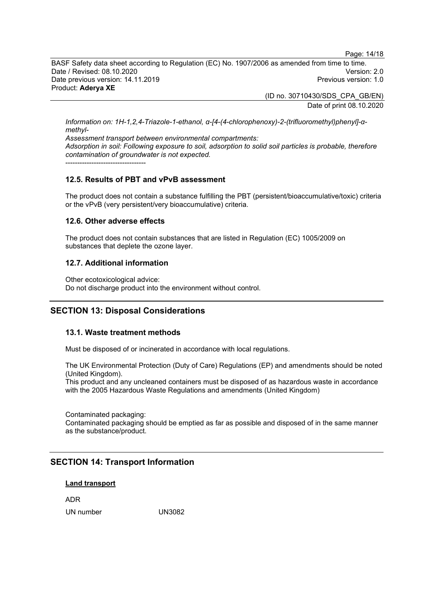Page: 14/18

BASF Safety data sheet according to Regulation (EC) No. 1907/2006 as amended from time to time. Date / Revised: 08.10.2020 Version: 2.0 Date previous version: 14.11.2019 Product: **Aderya XE**

> (ID no. 30710430/SDS\_CPA\_GB/EN) Date of print 08.10.2020

*Information on: 1H-1,2,4-Triazole-1-ethanol, α-[4-(4-chlorophenoxy)-2-(trifluoromethyl)phenyl]-αmethyl-*

*Assessment transport between environmental compartments: Adsorption in soil: Following exposure to soil, adsorption to solid soil particles is probable, therefore contamination of groundwater is not expected.* ----------------------------------

## **12.5. Results of PBT and vPvB assessment**

The product does not contain a substance fulfilling the PBT (persistent/bioaccumulative/toxic) criteria or the vPvB (very persistent/very bioaccumulative) criteria.

#### **12.6. Other adverse effects**

The product does not contain substances that are listed in Regulation (EC) 1005/2009 on substances that deplete the ozone layer.

## **12.7. Additional information**

Other ecotoxicological advice: Do not discharge product into the environment without control.

## **SECTION 13: Disposal Considerations**

#### **13.1. Waste treatment methods**

Must be disposed of or incinerated in accordance with local regulations.

The UK Environmental Protection (Duty of Care) Regulations (EP) and amendments should be noted (United Kingdom).

This product and any uncleaned containers must be disposed of as hazardous waste in accordance with the 2005 Hazardous Waste Regulations and amendments (United Kingdom)

Contaminated packaging:

Contaminated packaging should be emptied as far as possible and disposed of in the same manner as the substance/product.

## **SECTION 14: Transport Information**

#### **Land transport**

ADR

UN number UN3082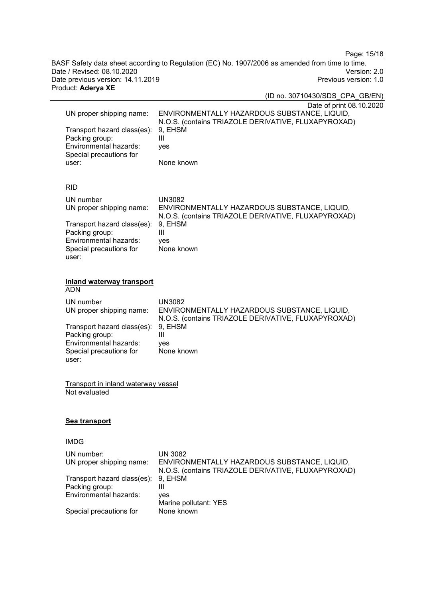Page: 15/18

BASF Safety data sheet according to Regulation (EC) No. 1907/2006 as amended from time to time. Date / Revised: 08.10.2020<br>
Date previous version: 14.11.2019<br>
Previous version: 14.11.2019 Date previous version: 14.11.2019 Product: **Aderya XE**

|                                                                                                                                                      | (ID no. 30710430/SDS CPA GB/EN)                                                                                                                                                   |
|------------------------------------------------------------------------------------------------------------------------------------------------------|-----------------------------------------------------------------------------------------------------------------------------------------------------------------------------------|
| UN proper shipping name:<br>Transport hazard class(es):<br>Packing group:<br>Environmental hazards:<br>Special precautions for<br>user:              | Date of print 08.10.2020<br>ENVIRONMENTALLY HAZARDOUS SUBSTANCE, LIQUID,<br>N.O.S. (contains TRIAZOLE DERIVATIVE, FLUXAPYROXAD)<br>9, EHSM<br>$\mathbf{III}$<br>yes<br>None known |
| <b>RID</b>                                                                                                                                           |                                                                                                                                                                                   |
| UN number<br>UN proper shipping name:<br>Transport hazard class(es):<br>Packing group:<br>Environmental hazards:<br>Special precautions for<br>user: | <b>UN3082</b><br>ENVIRONMENTALLY HAZARDOUS SUBSTANCE, LIQUID,<br>N.O.S. (contains TRIAZOLE DERIVATIVE, FLUXAPYROXAD)<br>9, EHSM<br>$\mathbf{III}$<br>ves<br>None known            |
| <b>Inland waterway transport</b><br><b>ADN</b>                                                                                                       |                                                                                                                                                                                   |
| UN number<br>UN proper shipping name:<br>Transport hazard class(es):<br>Packing group:<br>Environmental hazards:                                     | <b>UN3082</b><br>ENVIRONMENTALLY HAZARDOUS SUBSTANCE, LIQUID,<br>N.O.S. (contains TRIAZOLE DERIVATIVE, FLUXAPYROXAD)<br>9, EHSM<br>III<br>ves                                     |
| Special precautions for<br>user:                                                                                                                     | None known                                                                                                                                                                        |
|                                                                                                                                                      |                                                                                                                                                                                   |

Transport in inland waterway vessel Not evaluated

## **Sea transport**

## IMDG

| UN number:                          | <b>UN 3082</b>                                      |
|-------------------------------------|-----------------------------------------------------|
| UN proper shipping name:            | ENVIRONMENTALLY HAZARDOUS SUBSTANCE, LIQUID,        |
|                                     | N.O.S. (contains TRIAZOLE DERIVATIVE, FLUXAPYROXAD) |
| Transport hazard class(es): 9, EHSM |                                                     |
| Packing group:                      | Ш                                                   |
| Environmental hazards:              | ves                                                 |
|                                     | Marine pollutant: YES                               |
| Special precautions for             | None known                                          |
|                                     |                                                     |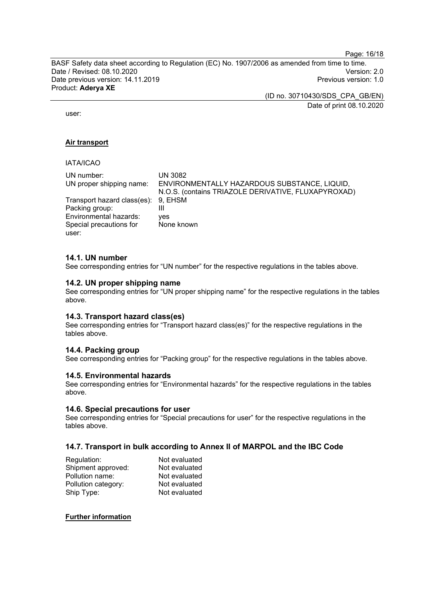Page: 16/18

BASF Safety data sheet according to Regulation (EC) No. 1907/2006 as amended from time to time. Date / Revised: 08.10.2020<br>Date previous version: 14.11.2019 Version: 2.0 Date previous version: 14.11.2019 Product: **Aderya XE**

> (ID no. 30710430/SDS\_CPA\_GB/EN) Date of print 08.10.2020

user:

#### **Air transport**

#### IATA/ICAO

| UN number:                          | UN 3082                                             |
|-------------------------------------|-----------------------------------------------------|
| UN proper shipping name:            | ENVIRONMENTALLY HAZARDOUS SUBSTANCE, LIQUID,        |
|                                     | N.O.S. (contains TRIAZOLE DERIVATIVE, FLUXAPYROXAD) |
| Transport hazard class(es): 9, EHSM |                                                     |
| Packing group:                      |                                                     |
| Environmental hazards:              | ves                                                 |
| Special precautions for             | None known                                          |
| user:                               |                                                     |

#### **14.1. UN number**

See corresponding entries for "UN number" for the respective regulations in the tables above.

#### **14.2. UN proper shipping name**

See corresponding entries for "UN proper shipping name" for the respective regulations in the tables above.

#### **14.3. Transport hazard class(es)**

See corresponding entries for "Transport hazard class(es)" for the respective regulations in the tables above.

#### **14.4. Packing group**

See corresponding entries for "Packing group" for the respective regulations in the tables above.

#### **14.5. Environmental hazards**

See corresponding entries for "Environmental hazards" for the respective regulations in the tables above.

#### **14.6. Special precautions for user**

See corresponding entries for "Special precautions for user" for the respective regulations in the tables above.

#### **14.7. Transport in bulk according to Annex II of MARPOL and the IBC Code**

| Regulation:         | Not evaluated |
|---------------------|---------------|
| Shipment approved:  | Not evaluated |
| Pollution name:     | Not evaluated |
| Pollution category: | Not evaluated |
| Ship Type:          | Not evaluated |
|                     |               |

#### **Further information**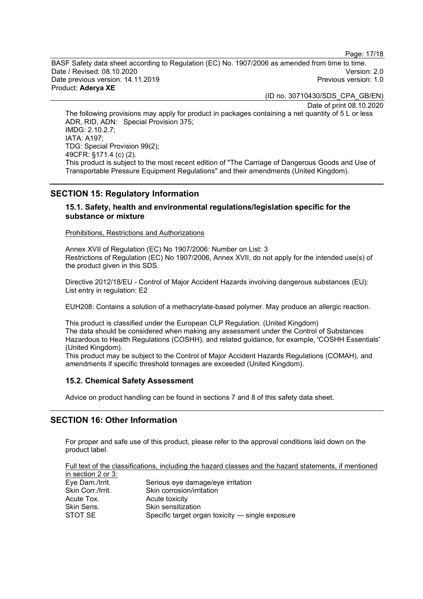Page: 17/18

BASF Safety data sheet according to Regulation (EC) No. 1907/2006 as amended from time to time. Date / Revised: 08.10.2020 Version: 2.0 Date previous version: 14.11.2019 Product: **Aderya XE**

(ID no. 30710430/SDS\_CPA\_GB/EN)

Date of print 08.10.2020

The following provisions may apply for product in packages containing a net quantity of 5 L or less ADR, RID, ADN: Special Provision 375; IMDG: 2.10.2.7; IATA: A197; TDG: Special Provision 99(2); 49CFR: §171.4 (c) (2). This product is subject to the most recent edition of "The Carriage of Dangerous Goods and Use of Transportable Pressure Equipment Regulations" and their amendments (United Kingdom).

## **SECTION 15: Regulatory Information**

#### **15.1. Safety, health and environmental regulations/legislation specific for the substance or mixture**

Prohibitions, Restrictions and Authorizations

Annex XVII of Regulation (EC) No 1907/2006: Number on List: 3 Restrictions of Regulation (EC) No 1907/2006, Annex XVII, do not apply for the intended use(s) of the product given in this SDS.

Directive 2012/18/EU - Control of Major Accident Hazards involving dangerous substances (EU): List entry in regulation: E2

EUH208: Contains a solution of a methacrylate-based polymer. May produce an allergic reaction.

This product is classified under the European CLP Regulation. (United Kingdom) The data should be considered when making any assessment under the Control of Substances Hazardous to Health Regulations (COSHH), and related guidance, for example, 'COSHH Essentials' (United Kingdom).

This product may be subject to the Control of Major Accident Hazards Regulations (COMAH), and amendments if specific threshold tonnages are exceeded (United Kingdom).

#### **15.2. Chemical Safety Assessment**

Advice on product handling can be found in sections 7 and 8 of this safety data sheet.

## **SECTION 16: Other Information**

For proper and safe use of this product, please refer to the approval conditions laid down on the product label.

Full text of the classifications, including the hazard classes and the hazard statements, if mentioned in section 2 or 3:

| Eye Dam./Irrit.   | Serious eye damage/eye irritation                |
|-------------------|--------------------------------------------------|
| Skin Corr./Irrit. | Skin corrosion/irritation                        |
| Acute Tox.        | Acute toxicity                                   |
| Skin Sens.        | Skin sensitization                               |
| STOT SE           | Specific target organ toxicity — single exposure |
|                   |                                                  |